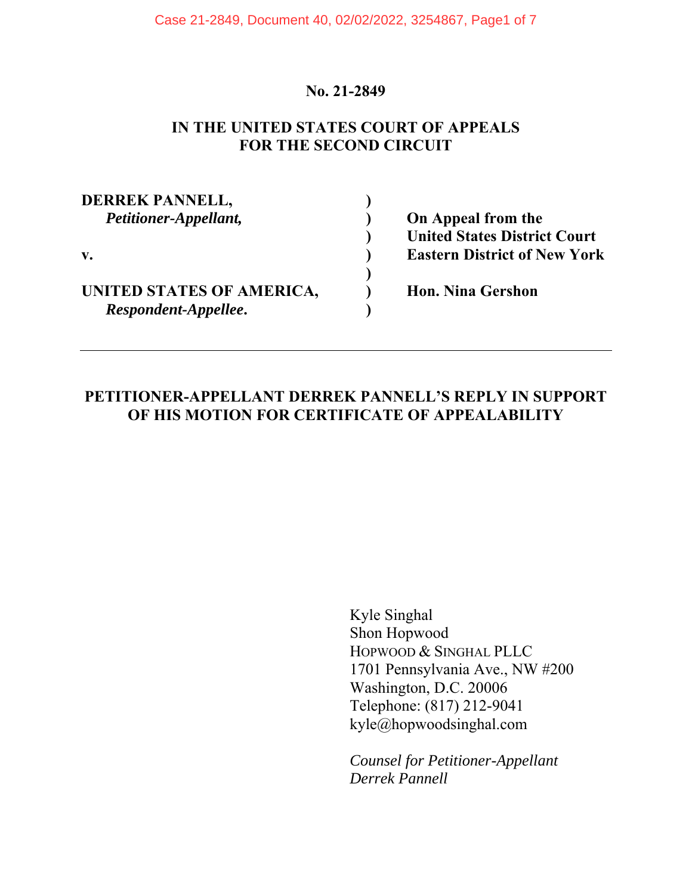### **No. 21-2849**

### **IN THE UNITED STATES COURT OF APPEALS FOR THE SECOND CIRCUIT**

**DERREK PANNELL, )**  *Petitioner-Appellant,* **) On Appeal from the v. ) Eastern District of New York )**  UNITED STATES OF AMERICA,  $\qquad$  ) Hon. Nina Gershon *Respondent-Appellee***. )** 

 **) United States District Court** 

## **PETITIONER-APPELLANT DERREK PANNELL'S REPLY IN SUPPORT OF HIS MOTION FOR CERTIFICATE OF APPEALABILITY**

Kyle Singhal Shon Hopwood HOPWOOD & SINGHAL PLLC 1701 Pennsylvania Ave., NW #200 Washington, D.C. 20006 Telephone: (817) 212-9041 kyle@hopwoodsinghal.com

*Counsel for Petitioner-Appellant Derrek Pannell*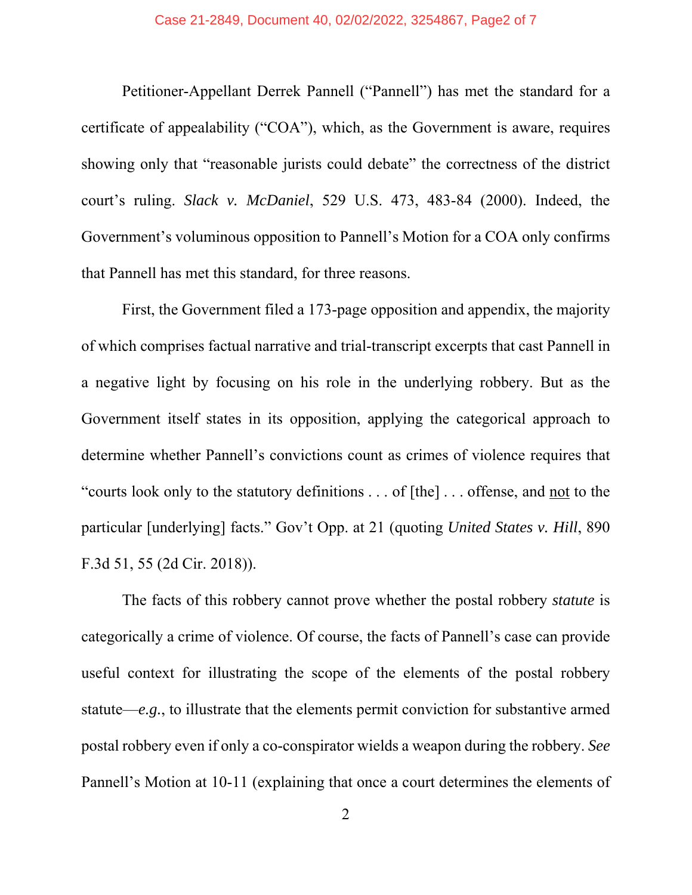Petitioner-Appellant Derrek Pannell ("Pannell") has met the standard for a certificate of appealability ("COA"), which, as the Government is aware, requires showing only that "reasonable jurists could debate" the correctness of the district court's ruling. *Slack v. McDaniel*, 529 U.S. 473, 483-84 (2000). Indeed, the Government's voluminous opposition to Pannell's Motion for a COA only confirms that Pannell has met this standard, for three reasons.

First, the Government filed a 173-page opposition and appendix, the majority of which comprises factual narrative and trial-transcript excerpts that cast Pannell in a negative light by focusing on his role in the underlying robbery. But as the Government itself states in its opposition, applying the categorical approach to determine whether Pannell's convictions count as crimes of violence requires that "courts look only to the statutory definitions . . . of [the] . . . offense, and not to the particular [underlying] facts." Gov't Opp. at 21 (quoting *United States v. Hill*, 890 F.3d 51, 55 (2d Cir. 2018)).

The facts of this robbery cannot prove whether the postal robbery *statute* is categorically a crime of violence. Of course, the facts of Pannell's case can provide useful context for illustrating the scope of the elements of the postal robbery statute—*e.g.*, to illustrate that the elements permit conviction for substantive armed postal robbery even if only a co-conspirator wields a weapon during the robbery. *See* Pannell's Motion at 10-11 (explaining that once a court determines the elements of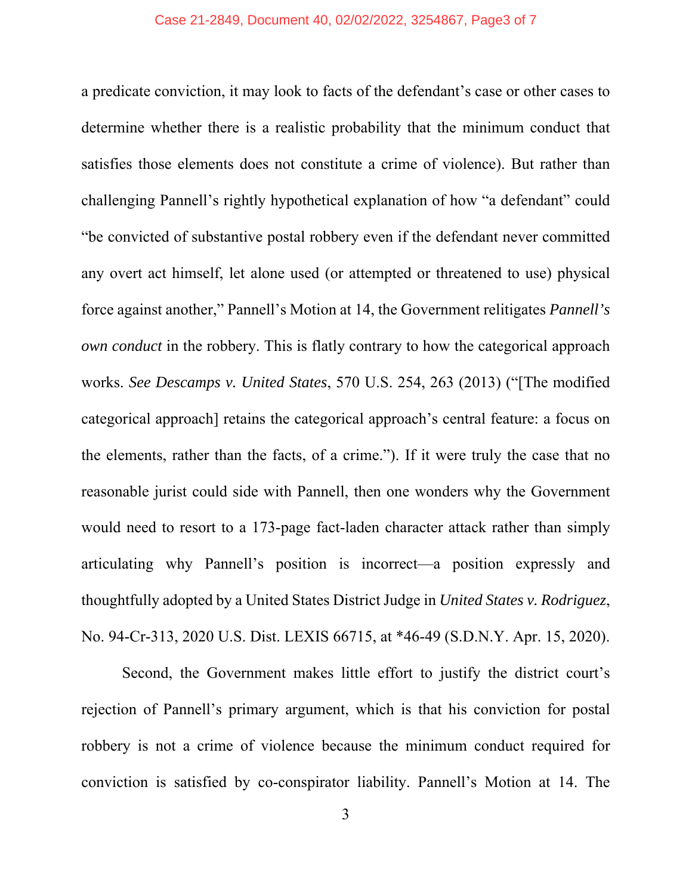a predicate conviction, it may look to facts of the defendant's case or other cases to determine whether there is a realistic probability that the minimum conduct that satisfies those elements does not constitute a crime of violence). But rather than challenging Pannell's rightly hypothetical explanation of how "a defendant" could "be convicted of substantive postal robbery even if the defendant never committed any overt act himself, let alone used (or attempted or threatened to use) physical force against another," Pannell's Motion at 14, the Government relitigates *Pannell's own conduct* in the robbery. This is flatly contrary to how the categorical approach works. *See Descamps v. United States*, 570 U.S. 254, 263 (2013) ("[The modified categorical approach] retains the categorical approach's central feature: a focus on the elements, rather than the facts, of a crime."). If it were truly the case that no reasonable jurist could side with Pannell, then one wonders why the Government would need to resort to a 173-page fact-laden character attack rather than simply articulating why Pannell's position is incorrect—a position expressly and thoughtfully adopted by a United States District Judge in *United States v. Rodriguez*, No. 94-Cr-313, 2020 U.S. Dist. LEXIS 66715, at \*46-49 (S.D.N.Y. Apr. 15, 2020).

Second, the Government makes little effort to justify the district court's rejection of Pannell's primary argument, which is that his conviction for postal robbery is not a crime of violence because the minimum conduct required for conviction is satisfied by co-conspirator liability. Pannell's Motion at 14. The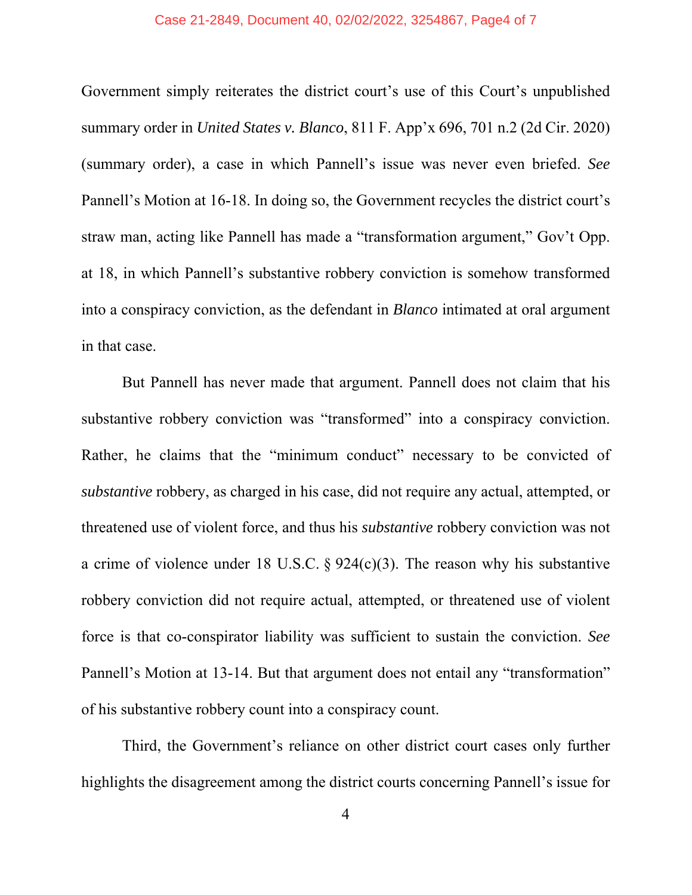#### Case 21-2849, Document 40, 02/02/2022, 3254867, Page4 of 7

Government simply reiterates the district court's use of this Court's unpublished summary order in *United States v. Blanco*, 811 F. App'x 696, 701 n.2 (2d Cir. 2020) (summary order), a case in which Pannell's issue was never even briefed. *See* Pannell's Motion at 16-18. In doing so, the Government recycles the district court's straw man, acting like Pannell has made a "transformation argument," Gov't Opp. at 18, in which Pannell's substantive robbery conviction is somehow transformed into a conspiracy conviction, as the defendant in *Blanco* intimated at oral argument in that case.

But Pannell has never made that argument. Pannell does not claim that his substantive robbery conviction was "transformed" into a conspiracy conviction. Rather, he claims that the "minimum conduct" necessary to be convicted of *substantive* robbery, as charged in his case, did not require any actual, attempted, or threatened use of violent force, and thus his *substantive* robbery conviction was not a crime of violence under 18 U.S.C. § 924(c)(3). The reason why his substantive robbery conviction did not require actual, attempted, or threatened use of violent force is that co-conspirator liability was sufficient to sustain the conviction. *See* Pannell's Motion at 13-14. But that argument does not entail any "transformation" of his substantive robbery count into a conspiracy count.

Third, the Government's reliance on other district court cases only further highlights the disagreement among the district courts concerning Pannell's issue for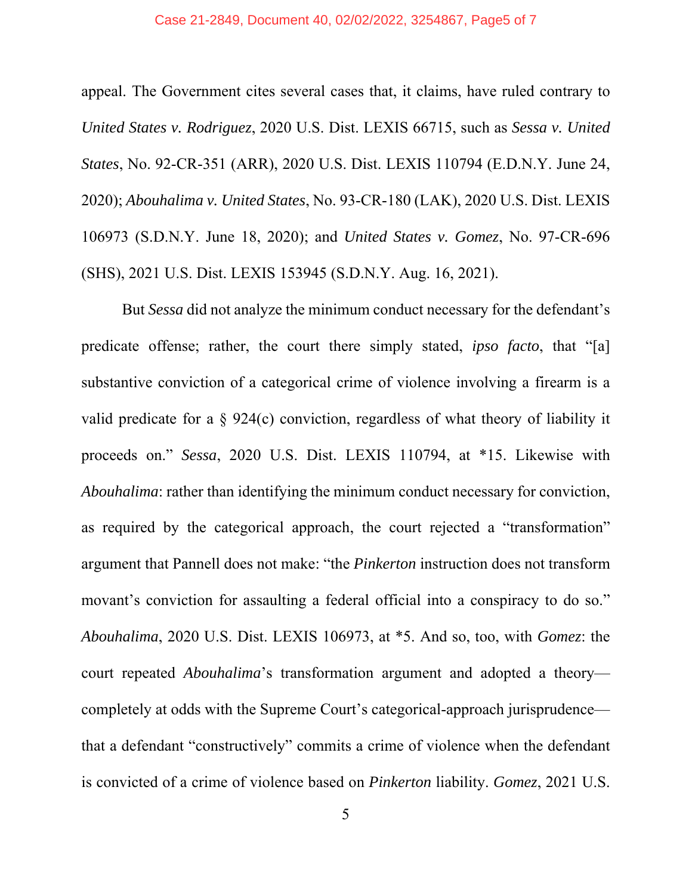appeal. The Government cites several cases that, it claims, have ruled contrary to *United States v. Rodriguez*, 2020 U.S. Dist. LEXIS 66715, such as *Sessa v. United States*, No. 92-CR-351 (ARR), 2020 U.S. Dist. LEXIS 110794 (E.D.N.Y. June 24, 2020); *Abouhalima v. United States*, No. 93-CR-180 (LAK), 2020 U.S. Dist. LEXIS 106973 (S.D.N.Y. June 18, 2020); and *United States v. Gomez*, No. 97-CR-696 (SHS), 2021 U.S. Dist. LEXIS 153945 (S.D.N.Y. Aug. 16, 2021).

But *Sessa* did not analyze the minimum conduct necessary for the defendant's predicate offense; rather, the court there simply stated, *ipso facto*, that "[a] substantive conviction of a categorical crime of violence involving a firearm is a valid predicate for a § 924(c) conviction, regardless of what theory of liability it proceeds on." *Sessa*, 2020 U.S. Dist. LEXIS 110794, at \*15. Likewise with *Abouhalima*: rather than identifying the minimum conduct necessary for conviction, as required by the categorical approach, the court rejected a "transformation" argument that Pannell does not make: "the *Pinkerton* instruction does not transform movant's conviction for assaulting a federal official into a conspiracy to do so." *Abouhalima*, 2020 U.S. Dist. LEXIS 106973, at \*5. And so, too, with *Gomez*: the court repeated *Abouhalima*'s transformation argument and adopted a theory completely at odds with the Supreme Court's categorical-approach jurisprudence that a defendant "constructively" commits a crime of violence when the defendant is convicted of a crime of violence based on *Pinkerton* liability. *Gomez*, 2021 U.S.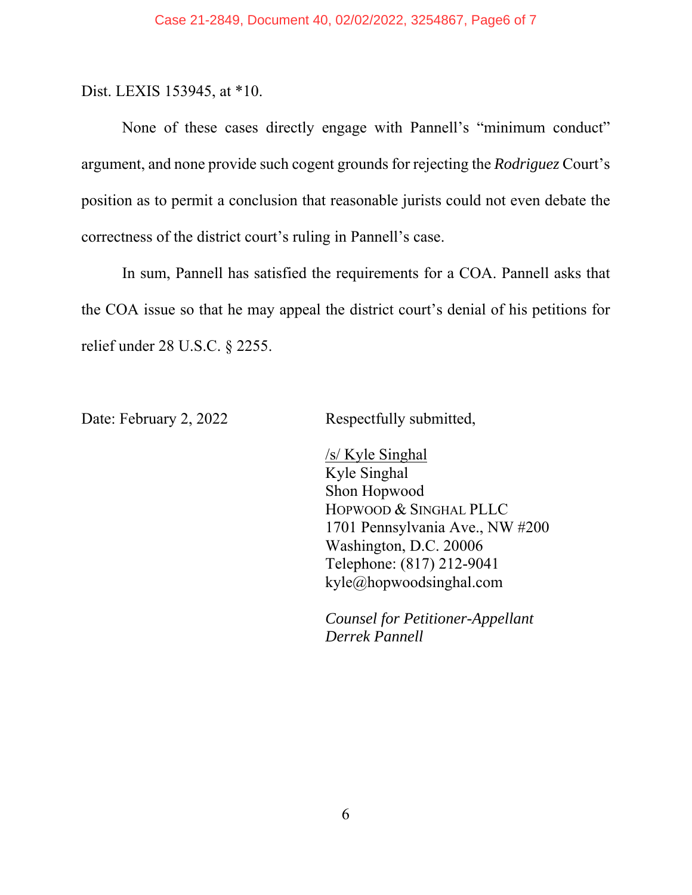Dist. LEXIS 153945, at \*10.

None of these cases directly engage with Pannell's "minimum conduct" argument, and none provide such cogent grounds for rejecting the *Rodriguez* Court's position as to permit a conclusion that reasonable jurists could not even debate the correctness of the district court's ruling in Pannell's case.

In sum, Pannell has satisfied the requirements for a COA. Pannell asks that the COA issue so that he may appeal the district court's denial of his petitions for relief under 28 U.S.C. § 2255.

Date: February 2, 2022 Respectfully submitted,

 /s/ Kyle Singhal Kyle Singhal Shon Hopwood HOPWOOD & SINGHAL PLLC 1701 Pennsylvania Ave., NW #200 Washington, D.C. 20006 Telephone: (817) 212-9041 kyle@hopwoodsinghal.com

*Counsel for Petitioner-Appellant Derrek Pannell*